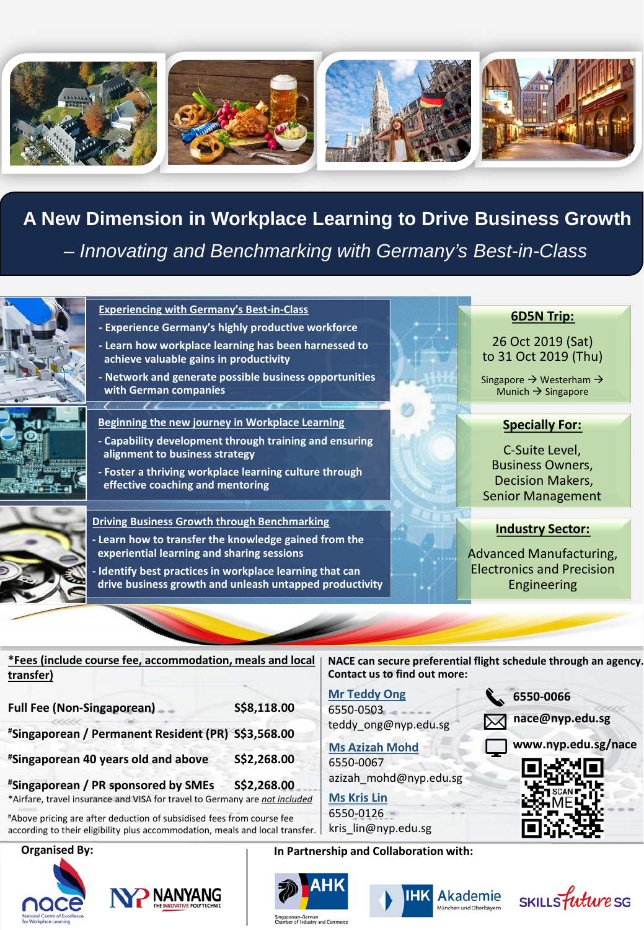

**A New Dimension in Workplace Learning to Drive Business Growth**  *– Innovating and Benchmarking with Germany's Best-in-Class*



#### **Experiencing with Germany's Best-in-Class**

 $\overline{\phantom{a}}$ 

- **- Experience Germany's highly productive workforce**
- **- Learn how workplace learning has been harnessed to achieve valuable gains in productivity**
- **- Network and generate possible business opportunities with German companies**
- **Beginning the new journey in Workplace Learning**
- **- Capability development through training and ensuring alignment to business strategy**
- **- Foster a thriving workplace learning culture through effective coaching and mentoring**

#### **Driving Business Growth through Benchmarking - Learn how to transfer the knowledge gained from the experiential learning and sharing sessions**

**- Identify best practices in workplace learning that can drive business growth and unleash untapped productivity**

## **6D5N Trip:**

## 26 Oct 2019 (Sat) to 31 Oct 2019 (Thu)

Singapore  $\rightarrow$  Westerham  $\rightarrow$ Munich  $\rightarrow$  Singapore

## **Specially For:**

C-Suite Level, Business Owners, Decision Makers, Senior Management

#### **Industry Sector:**

Advanced Manufacturing, Electronics and Precision Engineering

| *Fees (include course fee, accommodation, meals and local                  |             | NACE can secure preferential flight schedule through an agency. |                     |
|----------------------------------------------------------------------------|-------------|-----------------------------------------------------------------|---------------------|
| transfer)                                                                  |             | <b>Contact us to find out more:</b>                             |                     |
|                                                                            |             | <b>Mr Teddy Ong</b>                                             | 6550-0066           |
| Full Fee (Non-Singaporean)                                                 | S\$8,118.00 | 6550-0503                                                       | nace@nyp.edu.sg     |
| #Singaporean / Permanent Resident (PR) S\$3,568.00                         |             | teddy_ong@nyp.edu.sg                                            |                     |
|                                                                            |             | <b>Ms Azizah Mohd</b>                                           | www.nyp.edu.sg/nace |
| "Singaporean 40 years old and above                                        | S\$2,268.00 | 6550-0067                                                       |                     |
| "Singaporean / PR sponsored by SMEs                                        | S\$2,268.00 | azizah mohd@nyp.edu.sg                                          |                     |
| *Airfare, travel insurance and VISA for travel to Germany are not included |             | <b>Ms Kris Lin</b>                                              |                     |
|                                                                            |             |                                                                 |                     |

#Above pricing are after deduction of subsidised fees from course fee according to their eligibility plus accommodation, meals and local transfer.

#### **Organised By:**









**Ms Kris Lin** 6550-0126 kris\_lin@nyp.edu.sg